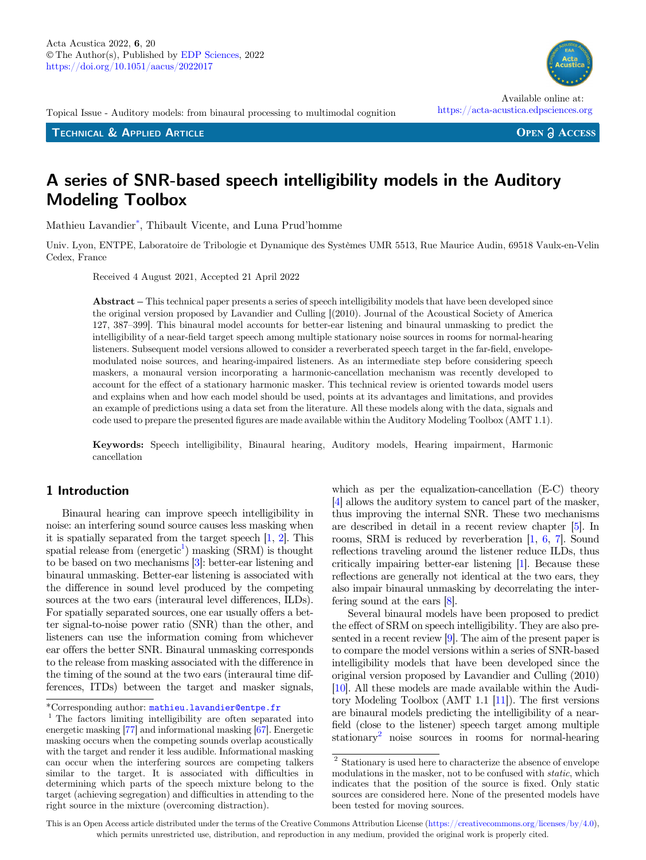Topical Issue - Auditory models: from binaural processing to multimodal cognition

TECHNICAL & APPLIED ARTICLE

# Available online at:

https://acta-acustica.edpsciences.org

**OPEN & ACCESS** 

# A series of SNR-based speech intelligibility models in the Auditory Modeling Toolbox

Mathieu Lavandier\*, Thibault Vicente, and Luna Prud'homme

Univ. Lyon, ENTPE, Laboratoire de Tribologie et Dynamique des Systèmes UMR 5513, Rue Maurice Audin, 69518 Vaulx-en-Velin Cedex, France Abstract – This technical paper presents a series of speech intelligibility models that have been developed since<br>Abstract – This technical paper presents a series of speech intelligibility models that have been developed

Received 4 August 2021, Accepted 21 April 2022

the original version proposed by Lavandier and Culling [(2010). Journal of the Acoustical Society of America 127, 387–399]. This binaural model accounts for better-ear listening and binaural unmasking to predict the intelligibility of a near-field target speech among multiple stationary noise sources in rooms for normal-hearing listeners. Subsequent model versions allowed to consider a reverberated speech target in the far-field, envelopemodulated noise sources, and hearing-impaired listeners. As an intermediate step before considering speech maskers, a monaural version incorporating a harmonic-cancellation mechanism was recently developed to account for the effect of a stationary harmonic masker. This technical review is oriented towards model users and explains when and how each model should be used, points at its advantages and limitations, and provides an example of predictions using a data set from the literature. All these models along with the data, signals and code used to prepare the presented figures are made available within the Auditory Modeling Toolbox (AMT 1.1).

Keywords: Speech intelligibility, Binaural hearing, Auditory models, Hearing impairment, Harmonic cancellation

## 1 Introduction

Binaural hearing can improve speech intelligibility in noise: an interfering sound source causes less masking when it is spatially separated from the target speech [\[1,](#page-14-0) [2\]](#page-14-0). This spatial release from  $(energetic^1)$  masking  $(SRM)$  is thought to be based on two mechanisms [\[3](#page-14-0)]: better-ear listening and binaural unmasking. Better-ear listening is associated with the difference in sound level produced by the competing sources at the two ears (interaural level differences, ILDs). For spatially separated sources, one ear usually offers a better signal-to-noise power ratio (SNR) than the other, and listeners can use the information coming from whichever ear offers the better SNR. Binaural unmasking corresponds to the release from masking associated with the difference in the timing of the sound at the two ears (interaural time differences, ITDs) between the target and masker signals,

which as per the equalization-cancellation (E-C) theory [[4\]](#page-14-0) allows the auditory system to cancel part of the masker, thus improving the internal SNR. These two mechanisms are described in detail in a recent review chapter [\[5](#page-14-0)]. In rooms, SRM is reduced by reverberation [[1](#page-14-0), [6](#page-14-0), [7\]](#page-14-0). Sound reflections traveling around the listener reduce ILDs, thus critically impairing better-ear listening [[1\]](#page-14-0). Because these reflections are generally not identical at the two ears, they also impair binaural unmasking by decorrelating the interfering sound at the ears [\[8\]](#page-14-0).

Several binaural models have been proposed to predict the effect of SRM on speech intelligibility. They are also presented in a recent review [\[9](#page-14-0)]. The aim of the present paper is to compare the model versions within a series of SNR-based intelligibility models that have been developed since the original version proposed by Lavandier and Culling (2010) [[10](#page-14-0)]. All these models are made available within the Auditory Modeling Toolbox (AMT 1.1 [[11\]](#page-14-0)). The first versions are binaural models predicting the intelligibility of a nearfield (close to the listener) speech target among multiple stationary2 noise sources in rooms for normal-hearing

This is an Open Access article distributed under the terms of the Creative Commons Attribution License [\(https://creativecommons.org/licenses/by/4.0\)](https://creativecommons.org/licenses/by/4.0/), which permits unrestricted use, distribution, and reproduction in any medium, provided the original work is properly cited.

<sup>\*</sup>Corresponding author: mathieu.lavandier@entpe.fr $^{\rm 1}$  The factors limiting intelligibility are often separated into energetic masking [[77\]](#page-16-0) and informational masking [[67](#page-16-0)]. Energetic masking occurs when the competing sounds overlap acoustically with the target and render it less audible. Informational masking can occur when the interfering sources are competing talkers similar to the target. It is associated with difficulties in determining which parts of the speech mixture belong to the target (achieving segregation) and difficulties in attending to the right source in the mixture (overcoming distraction).

 $^{\rm 2}$  Stationary is used here to characterize the absence of envelope modulations in the masker, not to be confused with static, which indicates that the position of the source is fixed. Only static sources are considered here. None of the presented models have been tested for moving sources.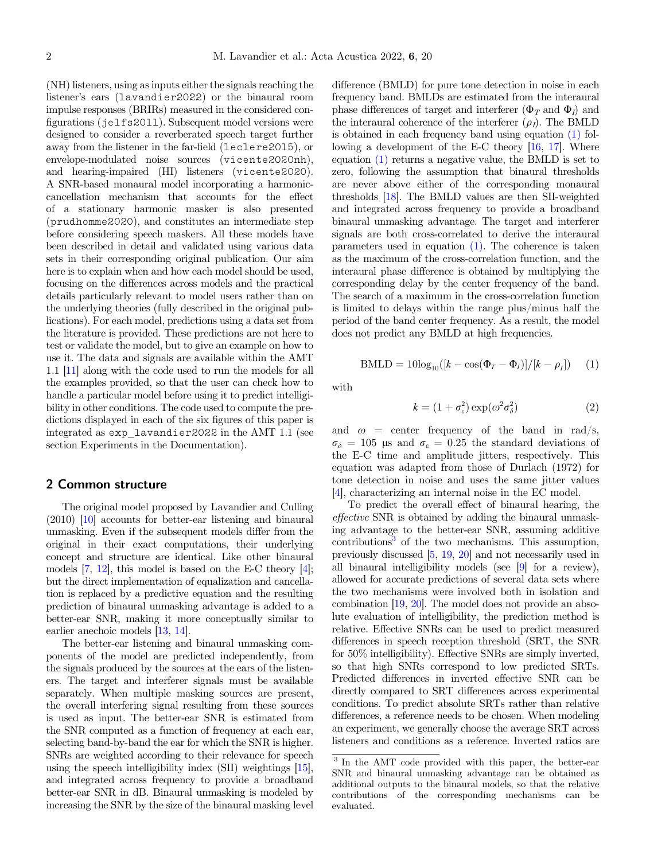<span id="page-1-0"></span>(NH) listeners, using as inputs either the signals reaching the listener's ears (lavandier2022) or the binaural room impulse responses (BRIRs) measured in the considered configurations (jelfs2011). Subsequent model versions were designed to consider a reverberated speech target further away from the listener in the far-field (leclere2015), or envelope-modulated noise sources (vicente2020nh), and hearing-impaired (HI) listeners (vicente2020). A SNR-based monaural model incorporating a harmoniccancellation mechanism that accounts for the effect of a stationary harmonic masker is also presented (prudhomme2020), and constitutes an intermediate step before considering speech maskers. All these models have been described in detail and validated using various data sets in their corresponding original publication. Our aim here is to explain when and how each model should be used, focusing on the differences across models and the practical details particularly relevant to model users rather than on the underlying theories (fully described in the original publications). For each model, predictions using a data set from the literature is provided. These predictions are not here to test or validate the model, but to give an example on how to use it. The data and signals are available within the AMT 1.1 [[11](#page-14-0)] along with the code used to run the models for all the examples provided, so that the user can check how to handle a particular model before using it to predict intelligibility in other conditions. The code used to compute the predictions displayed in each of the six figures of this paper is integrated as exp\_lavandier2022 in the AMT 1.1 (see section Experiments in the Documentation).

## 2 Common structure

The original model proposed by Lavandier and Culling (2010) [\[10](#page-14-0)] accounts for better-ear listening and binaural unmasking. Even if the subsequent models differ from the original in their exact computations, their underlying concept and structure are identical. Like other binaural models [[7,](#page-14-0) [12\]](#page-14-0), this model is based on the E-C theory [\[4\]](#page-14-0); but the direct implementation of equalization and cancellation is replaced by a predictive equation and the resulting prediction of binaural unmasking advantage is added to a better-ear SNR, making it more conceptually similar to earlier anechoic models [\[13](#page-14-0), [14\]](#page-14-0).

The better-ear listening and binaural unmasking components of the model are predicted independently, from the signals produced by the sources at the ears of the listeners. The target and interferer signals must be available separately. When multiple masking sources are present, the overall interfering signal resulting from these sources is used as input. The better-ear SNR is estimated from the SNR computed as a function of frequency at each ear, selecting band-by-band the ear for which the SNR is higher. SNRs are weighted according to their relevance for speech using the speech intelligibility index (SII) weightings [\[15\]](#page-14-0), and integrated across frequency to provide a broadband better-ear SNR in dB. Binaural unmasking is modeled by increasing the SNR by the size of the binaural masking level

difference (BMLD) for pure tone detection in noise in each frequency band. BMLDs are estimated from the interaural phase differences of target and interferer  $(\Phi_T \text{ and } \Phi_I)$  and the interaural coherence of the interferer  $(\rho_I)$ . The BMLD is obtained in each frequency band using equation (1) following a development of the E-C theory [\[16,](#page-14-0) [17\]](#page-14-0). Where equation (1) returns a negative value, the BMLD is set to zero, following the assumption that binaural thresholds are never above either of the corresponding monaural thresholds [[18](#page-14-0)]. The BMLD values are then SII-weighted and integrated across frequency to provide a broadband binaural unmasking advantage. The target and interferer signals are both cross-correlated to derive the interaural parameters used in equation (1). The coherence is taken as the maximum of the cross-correlation function, and the interaural phase difference is obtained by multiplying the corresponding delay by the center frequency of the band. The search of a maximum in the cross-correlation function is limited to delays within the range plus/minus half the period of the band center frequency. As a result, the model does not predict any BMLD at high frequencies.

$$
BMLD = 10\log_{10}([k - \cos(\Phi_T - \Phi_l)]/[k - \rho_l]) \quad (1)
$$

with

$$
k = (1 + \sigma_{\varepsilon}^2) \exp(\omega^2 \sigma_{\delta}^2)
$$
 (2)

and  $\omega$  = center frequency of the band in rad/s,  $\sigma_{\delta} = 105$  µs and  $\sigma_{\epsilon} = 0.25$  the standard deviations of the E-C time and amplitude jitters, respectively. This equation was adapted from those of Durlach (1972) for tone detection in noise and uses the same jitter values [[4\]](#page-14-0), characterizing an internal noise in the EC model.

To predict the overall effect of binaural hearing, the effective SNR is obtained by adding the binaural unmasking advantage to the better-ear SNR, assuming additive  $\text{contributions}^3$  of the two mechanisms. This assumption, previously discussed [\[5](#page-14-0), [19,](#page-14-0) [20\]](#page-14-0) and not necessarily used in all binaural intelligibility models (see [\[9\]](#page-14-0) for a review), allowed for accurate predictions of several data sets where the two mechanisms were involved both in isolation and combination [[19](#page-14-0), [20\]](#page-14-0). The model does not provide an absolute evaluation of intelligibility, the prediction method is relative. Effective SNRs can be used to predict measured differences in speech reception threshold (SRT, the SNR for 50% intelligibility). Effective SNRs are simply inverted, so that high SNRs correspond to low predicted SRTs. Predicted differences in inverted effective SNR can be directly compared to SRT differences across experimental conditions. To predict absolute SRTs rather than relative differences, a reference needs to be chosen. When modeling an experiment, we generally choose the average SRT across listeners and conditions as a reference. Inverted ratios are

 $\frac{3}{3}$  In the AMT code provided with this paper, the better-ear SNR and binaural unmasking advantage can be obtained as additional outputs to the binaural models, so that the relative contributions of the corresponding mechanisms can be evaluated.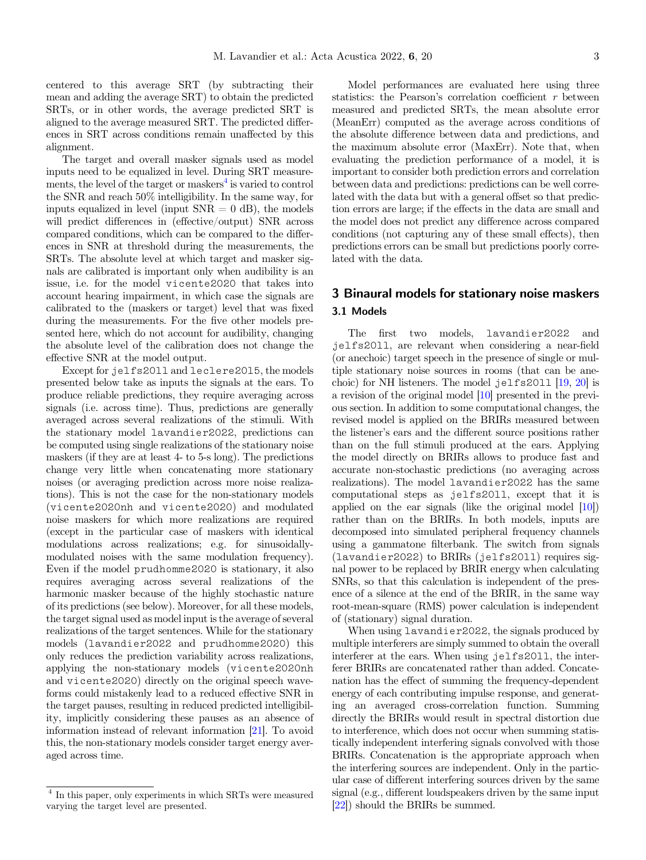centered to this average SRT (by subtracting their mean and adding the average SRT) to obtain the predicted SRTs, or in other words, the average predicted SRT is aligned to the average measured SRT. The predicted differences in SRT across conditions remain unaffected by this alignment.

The target and overall masker signals used as model inputs need to be equalized in level. During SRT measurements, the level of the target or maskers<sup>4</sup> is varied to control the SNR and reach 50% intelligibility. In the same way, for inputs equalized in level (input  $SNR = 0$  dB), the models will predict differences in (effective/output) SNR across compared conditions, which can be compared to the differences in SNR at threshold during the measurements, the SRTs. The absolute level at which target and masker signals are calibrated is important only when audibility is an issue, i.e. for the model vicente2020 that takes into account hearing impairment, in which case the signals are calibrated to the (maskers or target) level that was fixed during the measurements. For the five other models presented here, which do not account for audibility, changing the absolute level of the calibration does not change the effective SNR at the model output.

Except for jelfs2011 and leclere2015, the models presented below take as inputs the signals at the ears. To produce reliable predictions, they require averaging across signals (i.e. across time). Thus, predictions are generally averaged across several realizations of the stimuli. With the stationary model lavandier2022, predictions can be computed using single realizations of the stationary noise maskers (if they are at least 4- to 5-s long). The predictions change very little when concatenating more stationary noises (or averaging prediction across more noise realizations). This is not the case for the non-stationary models (vicente2020nh and vicente2020) and modulated noise maskers for which more realizations are required (except in the particular case of maskers with identical modulations across realizations; e.g. for sinusoidallymodulated noises with the same modulation frequency). Even if the model prudhomme2020 is stationary, it also requires averaging across several realizations of the harmonic masker because of the highly stochastic nature of its predictions (see below). Moreover, for all these models, the target signal used as model input is the average of several realizations of the target sentences. While for the stationary models (lavandier2022 and prudhomme2020) this only reduces the prediction variability across realizations, applying the non-stationary models (vicente2020nh and vicente2020) directly on the original speech waveforms could mistakenly lead to a reduced effective SNR in the target pauses, resulting in reduced predicted intelligibility, implicitly considering these pauses as an absence of information instead of relevant information [\[21\]](#page-15-0). To avoid this, the non-stationary models consider target energy averaged across time.

Model performances are evaluated here using three statistics: the Pearson's correlation coefficient  $r$  between measured and predicted SRTs the mean absolute error measured and predicted SRTs, the mean absolute error (MeanErr) computed as the average across conditions of the absolute difference between data and predictions, and the maximum absolute error (MaxErr). Note that, when evaluating the prediction performance of a model, it is important to consider both prediction errors and correlation between data and predictions: predictions can be well correlated with the data but with a general offset so that prediction errors are large; if the effects in the data are small and the model does not predict any difference across compared conditions (not capturing any of these small effects), then predictions errors can be small but predictions poorly correlated with the data.

## 3 Binaural models for stationary noise maskers 3.1 Models

The first two models, lavandier2022 and jelfs2011, are relevant when considering a near-field (or anechoic) target speech in the presence of single or multiple stationary noise sources in rooms (that can be anechoic) for NH listeners. The model jelfs2011 [\[19,](#page-14-0) [20](#page-14-0)] is a revision of the original model [\[10](#page-14-0)] presented in the previous section. In addition to some computational changes, the revised model is applied on the BRIRs measured between the listener's ears and the different source positions rather than on the full stimuli produced at the ears. Applying the model directly on BRIRs allows to produce fast and accurate non-stochastic predictions (no averaging across realizations). The model lavandier2022 has the same computational steps as jelfs2011, except that it is applied on the ear signals (like the original model [[10](#page-14-0)]) rather than on the BRIRs. In both models, inputs are decomposed into simulated peripheral frequency channels using a gammatone filterbank. The switch from signals (lavandier2022) to BRIRs (jelfs2011) requires signal power to be replaced by BRIR energy when calculating SNRs, so that this calculation is independent of the presence of a silence at the end of the BRIR, in the same way root-mean-square (RMS) power calculation is independent of (stationary) signal duration.

When using lavandier2022, the signals produced by multiple interferers are simply summed to obtain the overall interferer at the ears. When using jelfs2011, the interferer BRIRs are concatenated rather than added. Concatenation has the effect of summing the frequency-dependent energy of each contributing impulse response, and generating an averaged cross-correlation function. Summing directly the BRIRs would result in spectral distortion due to interference, which does not occur when summing statistically independent interfering signals convolved with those BRIRs. Concatenation is the appropriate approach when the interfering sources are independent. Only in the particular case of different interfering sources driven by the same signal (e.g., different loudspeakers driven by the same input [[22](#page-15-0)]) should the BRIRs be summed.

<sup>4</sup> In this paper, only experiments in which SRTs were measured varying the target level are presented.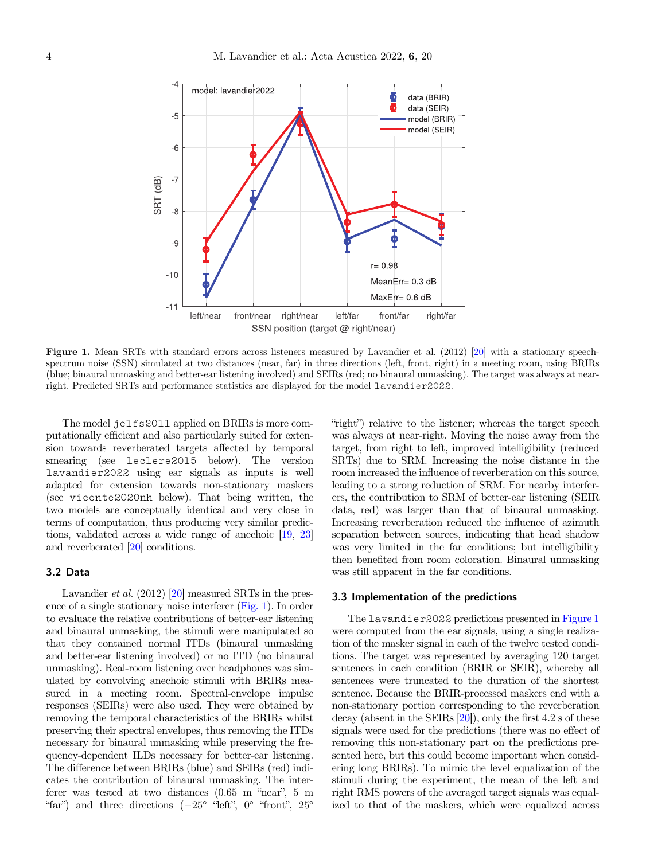<span id="page-3-0"></span>

Figure 1. Mean SRTs with standard errors across listeners measured by Lavandier et al. (2012) [\[20](#page-14-0)] with a stationary speechspectrum noise (SSN) simulated at two distances (near, far) in three directions (left, front, right) in a meeting room, using BRIRs (blue; binaural unmasking and better-ear listening involved) and SEIRs (red; no binaural unmasking). The target was always at nearright. Predicted SRTs and performance statistics are displayed for the model lavandier2022.

The model jelfs2011 applied on BRIRs is more computationally efficient and also particularly suited for extension towards reverberated targets affected by temporal smearing (see leclere2015 below). The version lavandier2022 using ear signals as inputs is well adapted for extension towards non-stationary maskers (see vicente2020nh below). That being written, the two models are conceptually identical and very close in terms of computation, thus producing very similar predictions, validated across a wide range of anechoic [[19](#page-14-0), [23](#page-15-0)] and reverberated [[20](#page-14-0)] conditions.

#### 3.2 Data

Lavandier et al. (2012) [\[20\]](#page-14-0) measured SRTs in the presence of a single stationary noise interferer (Fig. 1). In order to evaluate the relative contributions of better-ear listening and binaural unmasking, the stimuli were manipulated so that they contained normal ITDs (binaural unmasking and better-ear listening involved) or no ITD (no binaural unmasking). Real-room listening over headphones was simulated by convolving anechoic stimuli with BRIRs measured in a meeting room. Spectral-envelope impulse responses (SEIRs) were also used. They were obtained by removing the temporal characteristics of the BRIRs whilst preserving their spectral envelopes, thus removing the ITDs necessary for binaural unmasking while preserving the frequency-dependent ILDs necessary for better-ear listening. The difference between BRIRs (blue) and SEIRs (red) indicates the contribution of binaural unmasking. The intercates the contribution of binaural unmasking. The inter-<br>ferer was tested at two distances  $(0.65 \text{ m}$  "near", 5 m far") and three directions  $(-25^\circ$  "left", 0° "front", 25°<br>far") and three directions  $(-25^\circ$  "left", 0° "front", 25°

"right") relative to the listener; whereas the target speech was always at near-right. Moving the noise away from the target, from right to left, improved intelligibility (reduced SRTs) due to SRM. Increasing the noise distance in the room increased the influence of reverberation on this source, leading to a strong reduction of SRM. For nearby interferers, the contribution to SRM of better-ear listening (SEIR data, red) was larger than that of binaural unmasking. Increasing reverberation reduced the influence of azimuth separation between sources, indicating that head shadow was very limited in the far conditions; but intelligibility then benefited from room coloration. Binaural unmasking was still apparent in the far conditions.

## 3.3 Implementation of the predictions

The lavandier2022 predictions presented in Figure 1 were computed from the ear signals, using a single realization of the masker signal in each of the twelve tested conditions. The target was represented by averaging 120 target sentences in each condition (BRIR or SEIR), whereby all sentences were truncated to the duration of the shortest sentence. Because the BRIR-processed maskers end with a non-stationary portion corresponding to the reverberation decay (absent in the SEIRs  $[20]$  $[20]$  $[20]$ ), only the first 4.2 s of these signals were used for the predictions (there was no effect of removing this non-stationary part on the predictions presented here, but this could become important when considering long BRIRs). To mimic the level equalization of the stimuli during the experiment, the mean of the left and right RMS powers of the averaged target signals was equalized to that of the maskers, which were equalized across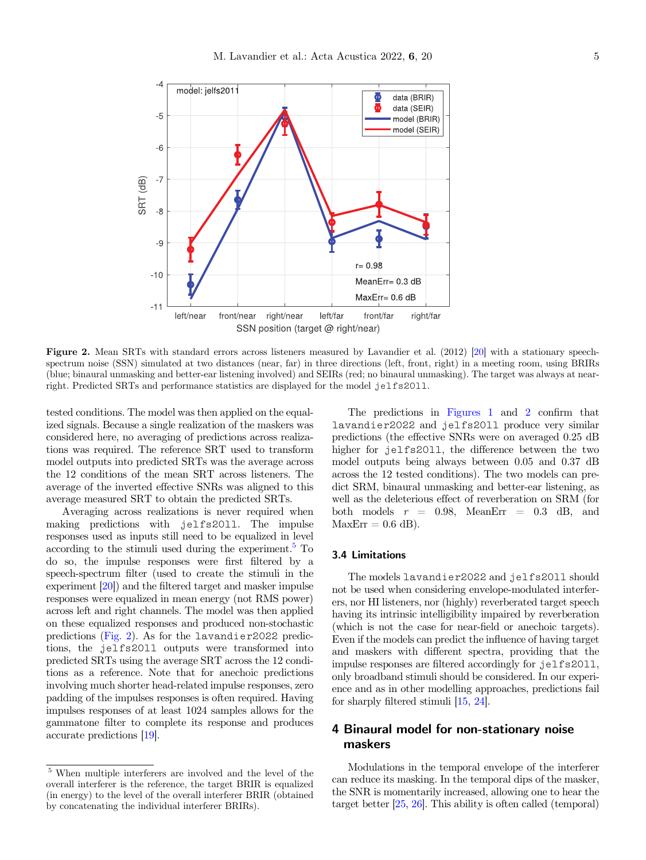<span id="page-4-0"></span>

Figure 2. Mean SRTs with standard errors across listeners measured by Lavandier et al. (2012) [\[20](#page-14-0)] with a stationary speechspectrum noise (SSN) simulated at two distances (near, far) in three directions (left, front, right) in a meeting room, using BRIRs (blue; binaural unmasking and better-ear listening involved) and SEIRs (red; no binaural unmasking). The target was always at nearright. Predicted SRTs and performance statistics are displayed for the model jelfs2011.

tested conditions. The model was then applied on the equalized signals. Because a single realization of the maskers was considered here, no averaging of predictions across realizations was required. The reference SRT used to transform model outputs into predicted SRTs was the average across the 12 conditions of the mean SRT across listeners. The average of the inverted effective SNRs was aligned to this average measured SRT to obtain the predicted SRTs.

Averaging across realizations is never required when making predictions with jelfs2011. The impulse responses used as inputs still need to be equalized in level according to the stimuli used during the experiment. $5$  To do so, the impulse responses were first filtered by a speech-spectrum filter (used to create the stimuli in the experiment [\[20\]](#page-14-0)) and the filtered target and masker impulse responses were equalized in mean energy (not RMS power) across left and right channels. The model was then applied on these equalized responses and produced non-stochastic predictions (Fig. 2). As for the lavandier2022 predictions, the jelfs2011 outputs were transformed into predicted SRTs using the average SRT across the 12 conditions as a reference. Note that for anechoic predictions involving much shorter head-related impulse responses, zero padding of the impulses responses is often required. Having impulses responses of at least 1024 samples allows for the gammatone filter to complete its response and produces accurate predictions [[19](#page-14-0)].

The predictions in [Figures 1](#page-3-0) and 2 confirm that lavandier2022 and jelfs2011 produce very similar predictions (the effective SNRs were on averaged 0.25 dB higher for jelfs2011, the difference between the two model outputs being always between 0.05 and 0.37 dB across the 12 tested conditions). The two models can predict SRM, binaural unmasking and better-ear listening, as well as the deleterious effect of reverberation on SRM (for both models  $r = 0.98$ , MeanErr = 0.3 dB, and  $MaxErr = 0.6$  dB).

## 3.4 Limitations

The models lavandier2022 and jelfs2011 should not be used when considering envelope-modulated interferers, nor HI listeners, nor (highly) reverberated target speech having its intrinsic intelligibility impaired by reverberation (which is not the case for near-field or anechoic targets). Even if the models can predict the influence of having target and maskers with different spectra, providing that the impulse responses are filtered accordingly for jelfs2011, only broadband stimuli should be considered. In our experience and as in other modelling approaches, predictions fail for sharply filtered stimuli [[15](#page-14-0), [24](#page-15-0)].

## 4 Binaural model for non-stationary noise maskers

Modulations in the temporal envelope of the interferer can reduce its masking. In the temporal dips of the masker, the SNR is momentarily increased, allowing one to hear the target better [\[25](#page-15-0), [26](#page-15-0)]. This ability is often called (temporal)

 $^{\rm 5}$  When multiple interferers are involved and the level of the overall interferer is the reference, the target BRIR is equalized (in energy) to the level of the overall interferer BRIR (obtained by concatenating the individual interferer BRIRs).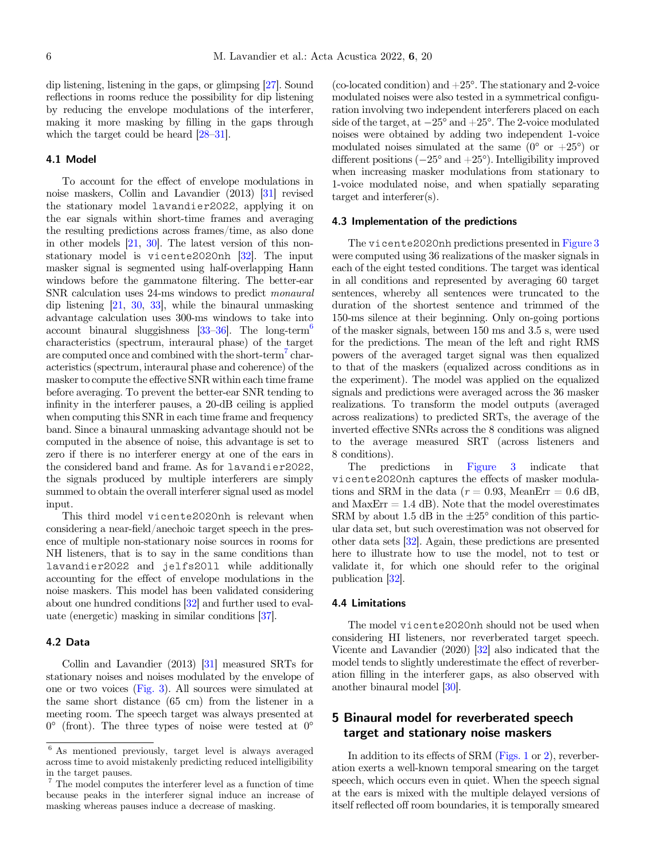dip listening, listening in the gaps, or glimpsing [\[27\]](#page-15-0). Sound reflections in rooms reduce the possibility for dip listening by reducing the envelope modulations of the interferer, making it more masking by filling in the gaps through which the target could be heard [\[28](#page-15-0)–[31\]](#page-15-0).

#### 4.1 Model

To account for the effect of envelope modulations in noise maskers, Collin and Lavandier (2013) [[31](#page-15-0)] revised the stationary model lavandier2022, applying it on the ear signals within short-time frames and averaging the resulting predictions across frames/time, as also done in other models [\[21,](#page-15-0) [30\]](#page-15-0). The latest version of this nonstationary model is vicente2020nh [\[32\]](#page-15-0). The input masker signal is segmented using half-overlapping Hann windows before the gammatone filtering. The better-ear SNR calculation uses 24-ms windows to predict monaural dip listening [[21](#page-15-0), [30,](#page-15-0) [33](#page-15-0)], while the binaural unmasking advantage calculation uses 300-ms windows to take into account binaural sluggishness  $[33-36]$  $[33-36]$  $[33-36]$ . The long-term<sup>6</sup> characteristics (spectrum, interaural phase) of the target are computed once and combined with the short-term<sup>7</sup> characteristics (spectrum, interaural phase and coherence) of the masker to compute the effective SNR within each time frame before averaging. To prevent the better-ear SNR tending to infinity in the interferer pauses, a 20-dB ceiling is applied when computing this SNR in each time frame and frequency band. Since a binaural unmasking advantage should not be computed in the absence of noise, this advantage is set to zero if there is no interferer energy at one of the ears in the considered band and frame. As for lavandier2022, the signals produced by multiple interferers are simply summed to obtain the overall interferer signal used as model input.

This third model vicente2020nh is relevant when considering a near-field/anechoic target speech in the presence of multiple non-stationary noise sources in rooms for NH listeners, that is to say in the same conditions than lavandier2022 and jelfs2011 while additionally accounting for the effect of envelope modulations in the noise maskers. This model has been validated considering about one hundred conditions [[32](#page-15-0)] and further used to evaluate (energetic) masking in similar conditions [[37](#page-15-0)].

## 4.2 Data

Collin and Lavandier (2013) [\[31\]](#page-15-0) measured SRTs for stationary noises and noises modulated by the envelope of one or two voices [\(Fig. 3](#page-6-0)). All sources were simulated at the same short distance (65 cm) from the listener in a meeting room. The speech target was always presented at  $0^{\circ}$  (front). The three types of noise were tested at  $0^{\circ}$ 

(co-located condition) and  $+25^{\circ}$ . The stationary and 2-voice modulated noises were also tested in a symmetrical configuration involving two independent interferers placed on each side of the target, at  $-25^{\circ}$  and  $+25^{\circ}$ . The 2-voice modulated noises were obtained by adding two independent 1-voice modulated noises simulated at the same  $(0^{\circ}$  or  $+25^{\circ})$  or different positions  $(-25^{\circ} \text{ and } +25^{\circ})$ . Intelligibility improved when increasing masker modulations from stationary to 1-voice modulated noise, and when spatially separating target and interferer(s).

#### 4.3 Implementation of the predictions

The vicente2020nh predictions presented in [Figure 3](#page-6-0) were computed using 36 realizations of the masker signals in each of the eight tested conditions. The target was identical in all conditions and represented by averaging 60 target sentences, whereby all sentences were truncated to the duration of the shortest sentence and trimmed of the 150-ms silence at their beginning. Only on-going portions of the masker signals, between 150 ms and 3.5 s, were used for the predictions. The mean of the left and right RMS powers of the averaged target signal was then equalized to that of the maskers (equalized across conditions as in the experiment). The model was applied on the equalized signals and predictions were averaged across the 36 masker realizations. To transform the model outputs (averaged across realizations) to predicted SRTs, the average of the inverted effective SNRs across the 8 conditions was aligned to the average measured SRT (across listeners and 8 conditions).

The predictions in [Figure 3](#page-6-0) indicate that vicente2020nh captures the effects of masker modulations and SRM in the data ( $r = 0.93$ , MeanErr = 0.6 dB, and  $MaxErr = 1.4$  dB). Note that the model overestimates SRM by about 1.5 dB in the  $\pm 25^{\circ}$  condition of this particular data set, but such overestimation was not observed for other data sets [\[32](#page-15-0)]. Again, these predictions are presented here to illustrate how to use the model, not to test or validate it, for which one should refer to the original publication [[32\]](#page-15-0).

## 4.4 Limitations

The model vicente2020nh should not be used when considering HI listeners, nor reverberated target speech. Vicente and Lavandier (2020) [\[32\]](#page-15-0) also indicated that the model tends to slightly underestimate the effect of reverberation filling in the interferer gaps, as also observed with another binaural model [\[30](#page-15-0)].

## 5 Binaural model for reverberated speech target and stationary noise maskers

In addition to its effects of SRM [\(Figs. 1](#page-3-0) or [2](#page-4-0)), reverberation exerts a well-known temporal smearing on the target speech, which occurs even in quiet. When the speech signal at the ears is mixed with the multiple delayed versions of itself reflected off room boundaries, it is temporally smeared

<sup>6</sup> As mentioned previously, target level is always averaged across time to avoid mistakenly predicting reduced intelligibility in the target pauses.

<sup>7</sup> The model computes the interferer level as a function of time because peaks in the interferer signal induce an increase of masking whereas pauses induce a decrease of masking.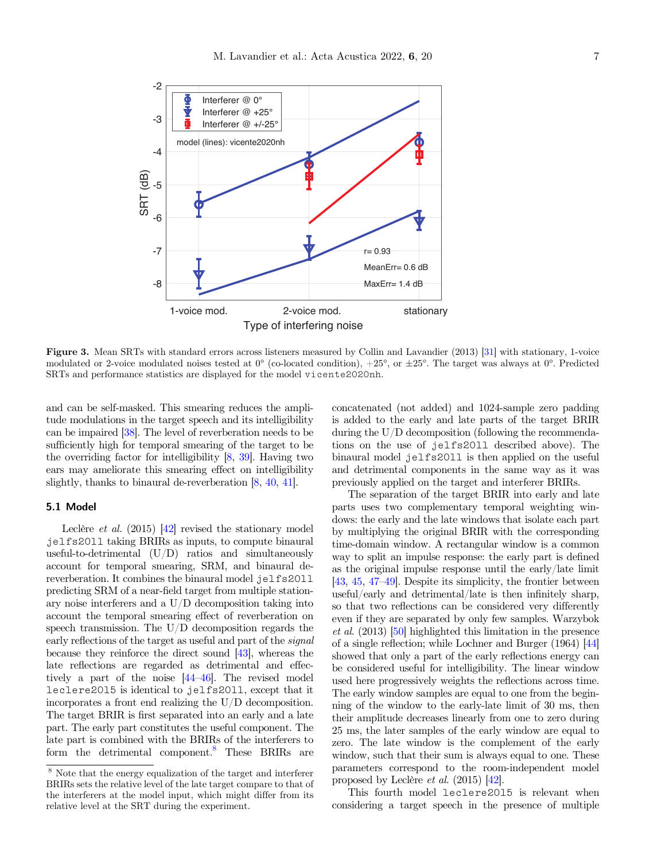<span id="page-6-0"></span>

Figure 3. Mean SRTs with standard errors across listeners measured by Collin and Lavandier (2013) [[31\]](#page-15-0) with stationary, 1-voice modulated or 2-voice modulated noises tested at  $0^{\circ}$  (co-located condition),  $+25^{\circ}$ , or  $\pm 25^{\circ}$ . The target was always at  $0^{\circ}$ . Predicted SRTs and performance statistics are displayed for the model vicente2020nh.

and can be self-masked. This smearing reduces the amplitude modulations in the target speech and its intelligibility can be impaired [\[38](#page-15-0)]. The level of reverberation needs to be sufficiently high for temporal smearing of the target to be the overriding factor for intelligibility [\[8,](#page-14-0) [39](#page-15-0)]. Having two ears may ameliorate this smearing effect on intelligibility slightly, thanks to binaural de-reverberation [\[8,](#page-14-0) [40](#page-15-0), [41](#page-15-0)].

## 5.1 Model

Leclère *et al.* (2015) [\[42](#page-15-0)] revised the stationary model jelfs2011 taking BRIRs as inputs, to compute binaural useful-to-detrimental (U/D) ratios and simultaneously account for temporal smearing, SRM, and binaural dereverberation. It combines the binaural model jelfs2011 predicting SRM of a near-field target from multiple stationary noise interferers and a U/D decomposition taking into account the temporal smearing effect of reverberation on speech transmission. The U/D decomposition regards the early reflections of the target as useful and part of the signal because they reinforce the direct sound [\[43\]](#page-15-0), whereas the late reflections are regarded as detrimental and effectively a part of the noise [\[44](#page-15-0)–[46](#page-15-0)]. The revised model leclere2015 is identical to jelfs2011, except that it incorporates a front end realizing the U/D decomposition. The target BRIR is first separated into an early and a late part. The early part constitutes the useful component. The late part is combined with the BRIRs of the interferers to form the detrimental component.<sup>8</sup> These BRIRs are

concatenated (not added) and 1024-sample zero padding is added to the early and late parts of the target BRIR during the U/D decomposition (following the recommendations on the use of jelfs2011 described above). The binaural model jelfs2011 is then applied on the useful and detrimental components in the same way as it was previously applied on the target and interferer BRIRs.

The separation of the target BRIR into early and late parts uses two complementary temporal weighting windows: the early and the late windows that isolate each part by multiplying the original BRIR with the corresponding time-domain window. A rectangular window is a common way to split an impulse response: the early part is defined as the original impulse response until the early/late limit [[43](#page-15-0), [45](#page-15-0), [47](#page-15-0)–[49](#page-15-0)]. Despite its simplicity, the frontier between useful/early and detrimental/late is then infinitely sharp, so that two reflections can be considered very differently even if they are separated by only few samples. Warzybok et al. (2013) [\[50](#page-15-0)] highlighted this limitation in the presence of a single reflection; while Lochner and Burger (1964) [\[44](#page-15-0)] showed that only a part of the early reflections energy can be considered useful for intelligibility. The linear window used here progressively weights the reflections across time. The early window samples are equal to one from the beginning of the window to the early-late limit of 30 ms, then their amplitude decreases linearly from one to zero during 25 ms, the later samples of the early window are equal to zero. The late window is the complement of the early window, such that their sum is always equal to one. These parameters correspond to the room-independent model proposed by Leclère et al. (2015) [\[42\]](#page-15-0).

This fourth model leclere2015 is relevant when considering a target speech in the presence of multiple

<sup>8</sup> Note that the energy equalization of the target and interferer BRIRs sets the relative level of the late target compare to that of the interferers at the model input, which might differ from its relative level at the SRT during the experiment.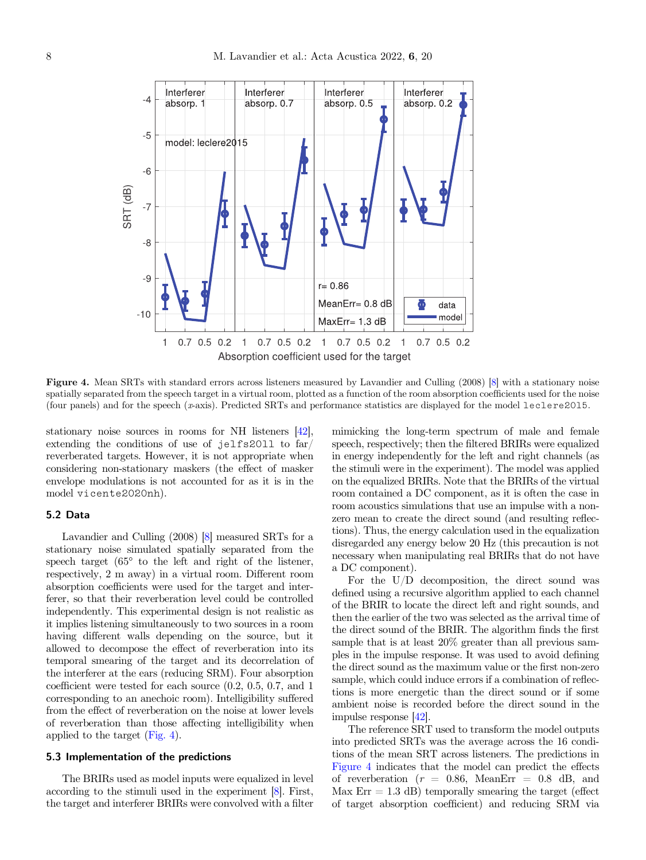

Figure 4. Mean SRTs with standard errors across listeners measured by Lavandier and Culling (2008) [\[8\]](#page-14-0) with a stationary noise spatially separated from the speech target in a virtual room, plotted as a function of the room absorption coefficients used for the noise (four panels) and for the speech (x-axis). Predicted SRTs and performance statistics are displayed for the model leclere2015.

stationary noise sources in rooms for NH listeners [\[42\]](#page-15-0), extending the conditions of use of jelfs2011 to far/ reverberated targets. However, it is not appropriate when considering non-stationary maskers (the effect of masker envelope modulations is not accounted for as it is in the model vicente2020nh).

## 5.2 Data

Lavandier and Culling (2008) [[8](#page-14-0)] measured SRTs for a stationary noise simulated spatially separated from the speech target  $(65^{\circ}$  to the left and right of the listener, respectively, 2 m away) in a virtual room. Different room absorption coefficients were used for the target and interferer, so that their reverberation level could be controlled independently. This experimental design is not realistic as it implies listening simultaneously to two sources in a room having different walls depending on the source, but it allowed to decompose the effect of reverberation into its temporal smearing of the target and its decorrelation of the interferer at the ears (reducing SRM). Four absorption coefficient were tested for each source (0.2, 0.5, 0.7, and 1 corresponding to an anechoic room). Intelligibility suffered from the effect of reverberation on the noise at lower levels of reverberation than those affecting intelligibility when applied to the target (Fig. 4).

## 5.3 Implementation of the predictions

The BRIRs used as model inputs were equalized in level according to the stimuli used in the experiment [[8](#page-14-0)]. First, the target and interferer BRIRs were convolved with a filter

mimicking the long-term spectrum of male and female speech, respectively; then the filtered BRIRs were equalized in energy independently for the left and right channels (as the stimuli were in the experiment). The model was applied on the equalized BRIRs. Note that the BRIRs of the virtual room contained a DC component, as it is often the case in room acoustics simulations that use an impulse with a nonzero mean to create the direct sound (and resulting reflections). Thus, the energy calculation used in the equalization disregarded any energy below 20 Hz (this precaution is not necessary when manipulating real BRIRs that do not have a DC component).

For the U/D decomposition, the direct sound was defined using a recursive algorithm applied to each channel of the BRIR to locate the direct left and right sounds, and then the earlier of the two was selected as the arrival time of the direct sound of the BRIR. The algorithm finds the first sample that is at least 20% greater than all previous samples in the impulse response. It was used to avoid defining the direct sound as the maximum value or the first non-zero sample, which could induce errors if a combination of reflections is more energetic than the direct sound or if some ambient noise is recorded before the direct sound in the impulse response [\[42](#page-15-0)].

The reference SRT used to transform the model outputs into predicted SRTs was the average across the 16 conditions of the mean SRT across listeners. The predictions in Figure 4 indicates that the model can predict the effects of reverberation ( $r = 0.86$ , MeanErr = 0.8 dB, and Max  $Err = 1.3$  dB) temporally smearing the target (effect of target absorption coefficient) and reducing SRM via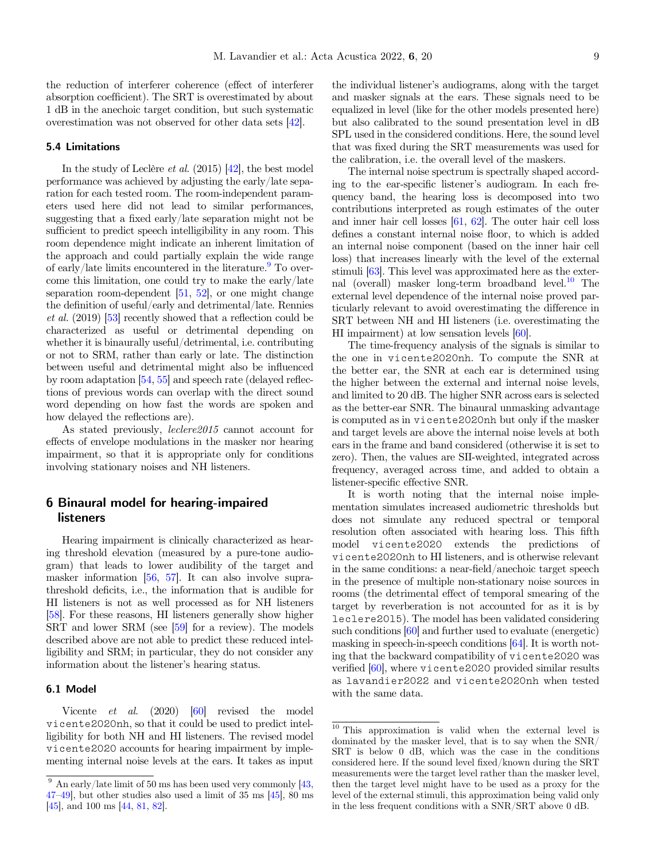the reduction of interferer coherence (effect of interferer absorption coefficient). The SRT is overestimated by about 1 dB in the anechoic target condition, but such systematic overestimation was not observed for other data sets [[42](#page-15-0)].

## 5.4 Limitations

In the study of Leclère *et al.*  $(2015)$  [\[42\]](#page-15-0), the best model performance was achieved by adjusting the early/late separation for each tested room. The room-independent parameters used here did not lead to similar performances, suggesting that a fixed early/late separation might not be sufficient to predict speech intelligibility in any room. This room dependence might indicate an inherent limitation of the approach and could partially explain the wide range of early/late limits encountered in the literature. $9^9$  To overcome this limitation, one could try to make the early/late separation room-dependent  $[51, 52]$  $[51, 52]$  $[51, 52]$ , or one might change the definition of useful/early and detrimental/late. Rennies et al. (2019) [[53\]](#page-15-0) recently showed that a reflection could be characterized as useful or detrimental depending on whether it is binaurally useful/detrimental, i.e. contributing or not to SRM, rather than early or late. The distinction between useful and detrimental might also be influenced by room adaptation [\[54,](#page-15-0) [55](#page-15-0)] and speech rate (delayed reflections of previous words can overlap with the direct sound word depending on how fast the words are spoken and how delayed the reflections are).

As stated previously, *leclere* 2015 cannot account for effects of envelope modulations in the masker nor hearing impairment, so that it is appropriate only for conditions involving stationary noises and NH listeners.

## 6 Binaural model for hearing-impaired listeners

Hearing impairment is clinically characterized as hearing threshold elevation (measured by a pure-tone audiogram) that leads to lower audibility of the target and masker information [[56](#page-16-0), [57](#page-16-0)]. It can also involve suprathreshold deficits, i.e., the information that is audible for HI listeners is not as well processed as for NH listeners [\[58\]](#page-16-0). For these reasons, HI listeners generally show higher SRT and lower SRM (see [\[59\]](#page-16-0) for a review). The models described above are not able to predict these reduced intelligibility and SRM; in particular, they do not consider any information about the listener's hearing status.

## 6.1 Model

Vicente *et al.* (2020) [\[60\]](#page-16-0) revised the model vicente2020nh, so that it could be used to predict intelligibility for both NH and HI listeners. The revised model vicente2020 accounts for hearing impairment by implementing internal noise levels at the ears. It takes as input

the individual listener's audiograms, along with the target and masker signals at the ears. These signals need to be equalized in level (like for the other models presented here) but also calibrated to the sound presentation level in dB SPL used in the considered conditions. Here, the sound level that was fixed during the SRT measurements was used for the calibration, i.e. the overall level of the maskers.

The internal noise spectrum is spectrally shaped according to the ear-specific listener's audiogram. In each frequency band, the hearing loss is decomposed into two contributions interpreted as rough estimates of the outer and inner hair cell losses [\[61,](#page-16-0) [62](#page-16-0)]. The outer hair cell loss defines a constant internal noise floor, to which is added an internal noise component (based on the inner hair cell loss) that increases linearly with the level of the external stimuli [\[63\]](#page-16-0). This level was approximated here as the external (overall) masker long-term broadband level. $10$  The external level dependence of the internal noise proved particularly relevant to avoid overestimating the difference in SRT between NH and HI listeners (i.e. overestimating the HI impairment) at low sensation levels [\[60\]](#page-16-0).

The time-frequency analysis of the signals is similar to the one in vicente2020nh. To compute the SNR at the better ear, the SNR at each ear is determined using the higher between the external and internal noise levels, and limited to 20 dB. The higher SNR across ears is selected as the better-ear SNR. The binaural unmasking advantage is computed as in vicente2020nh but only if the masker and target levels are above the internal noise levels at both ears in the frame and band considered (otherwise it is set to zero). Then, the values are SII-weighted, integrated across frequency, averaged across time, and added to obtain a listener-specific effective SNR.

It is worth noting that the internal noise implementation simulates increased audiometric thresholds but does not simulate any reduced spectral or temporal resolution often associated with hearing loss. This fifth model vicente2020 extends the predictions of vicente2020nh to HI listeners, and is otherwise relevant in the same conditions: a near-field/anechoic target speech in the presence of multiple non-stationary noise sources in rooms (the detrimental effect of temporal smearing of the target by reverberation is not accounted for as it is by leclere2015). The model has been validated considering such conditions [[60](#page-16-0)] and further used to evaluate (energetic) masking in speech-in-speech conditions [\[64](#page-16-0)]. It is worth noting that the backward compatibility of vicente2020 was verified [\[60\]](#page-16-0), where vicente2020 provided similar results as lavandier2022 and vicente2020nh when tested with the same data.

 $\frac{9}{9}$  An early/late limit of 50 ms has been used very commonly [[43,](#page-15-0) [47](#page-15-0)–[49\]](#page-15-0), but other studies also used a limit of 35 ms [\[45](#page-15-0)], 80 ms [[45\]](#page-15-0), and 100 ms [[44,](#page-15-0) [81](#page-16-0), [82\]](#page-16-0).

<sup>10</sup> This approximation is valid when the external level is dominated by the masker level, that is to say when the SNR/ SRT is below 0 dB, which was the case in the conditions considered here. If the sound level fixed/known during the SRT measurements were the target level rather than the masker level, then the target level might have to be used as a proxy for the level of the external stimuli, this approximation being valid only in the less frequent conditions with a SNR/SRT above 0 dB.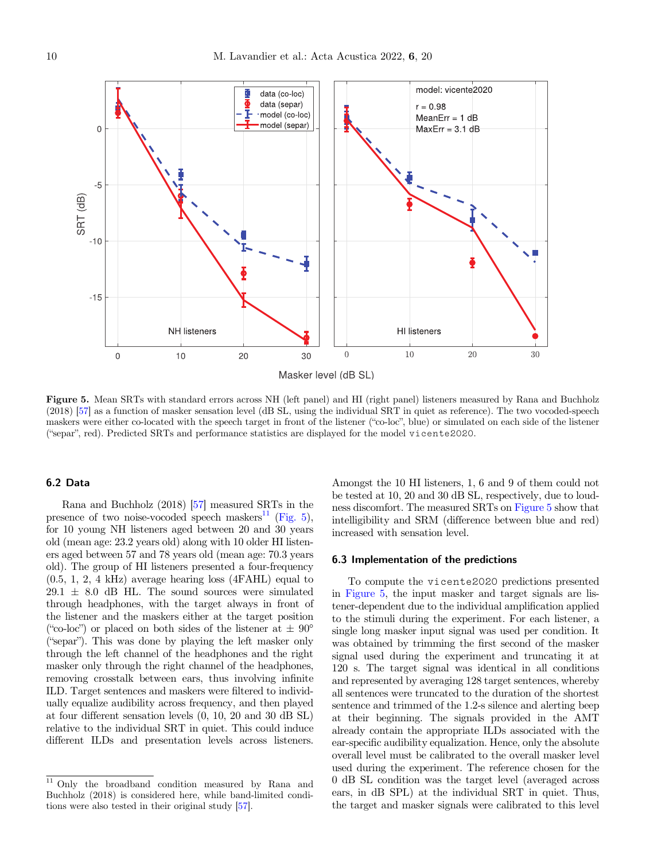<span id="page-9-0"></span>

Figure 5. Mean SRTs with standard errors across NH (left panel) and HI (right panel) listeners measured by Rana and Buchholz  $(2018)$  [[57\]](#page-16-0) as a function of masker sensation level (dB SL, using the individual SRT in quiet as reference). The two vocoded-speech maskers were either co-located with the speech target in front of the listener ("co-loc maskers were either co-located with the speech target in front of the listener ("co-loc", blue) or simulated on each side of the listener ("separ", red). Predicted SRTs and performance statistics are displayed for the mode

## 6.2 Data

Rana and Buchholz (2018) [\[57\]](#page-16-0) measured SRTs in the presence of two noise-vocoded speech maskers<sup>11</sup> (Fig. 5), for 10 young NH listeners aged between 20 and 30 years old (mean age: 23.2 years old) along with 10 older HI listeners aged between 57 and 78 years old (mean age: 70.3 years old). The group of HI listeners presented a four-frequency (0.5, 1, 2, 4 kHz) average hearing loss (4FAHL) equal to  $29.1 \pm 8.0$  dB HL. The sound sources were simulated through headphones, with the target always in front of the listener and the maskers either at the target position ("co-loc") or placed on both sides of the listener at  $\pm 90^{\circ}$ ("co-loc") or placed on both sides of the listener at  $\pm 90^{\circ}$ <br>("separ"). This was done by playing the left masker only through the left channel of the headphones and the right masker only through the right channel of the headphones, removing crosstalk between ears, thus involving infinite ILD. Target sentences and maskers were filtered to individually equalize audibility across frequency, and then played at four different sensation levels (0, 10, 20 and 30 dB SL) relative to the individual SRT in quiet. This could induce different ILDs and presentation levels across listeners.

Amongst the 10 HI listeners, 1, 6 and 9 of them could not be tested at 10, 20 and 30 dB SL, respectively, due to loudness discomfort. The measured SRTs on Figure 5 show that intelligibility and SRM (difference between blue and red) increased with sensation level.

#### 6.3 Implementation of the predictions

To compute the vicente2020 predictions presented in Figure 5, the input masker and target signals are listener-dependent due to the individual amplification applied to the stimuli during the experiment. For each listener, a single long masker input signal was used per condition. It was obtained by trimming the first second of the masker signal used during the experiment and truncating it at 120 s. The target signal was identical in all conditions and represented by averaging 128 target sentences, whereby all sentences were truncated to the duration of the shortest sentence and trimmed of the 1.2-s silence and alerting beep at their beginning. The signals provided in the AMT already contain the appropriate ILDs associated with the ear-specific audibility equalization. Hence, only the absolute overall level must be calibrated to the overall masker level used during the experiment. The reference chosen for the 0 dB SL condition was the target level (averaged across ears, in dB SPL) at the individual SRT in quiet. Thus, the target and masker signals were calibrated to this level

<sup>&</sup>lt;sup>11</sup> Only the broadband condition measured by Rana and Buchholz (2018) is considered here, while band-limited conditions were also tested in their original study [[57\]](#page-16-0).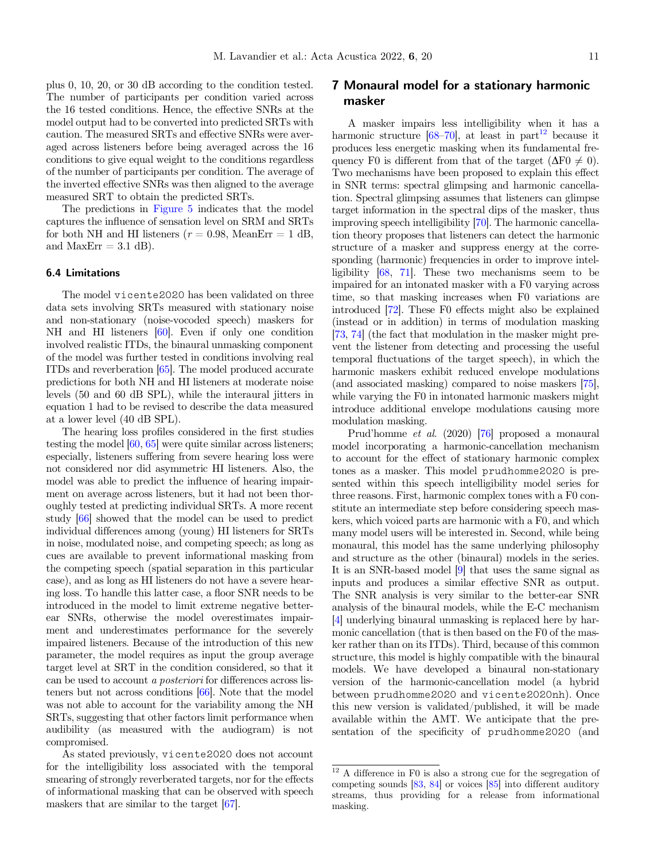plus 0, 10, 20, or 30 dB according to the condition tested. The number of participants per condition varied across the 16 tested conditions. Hence, the effective SNRs at the model output had to be converted into predicted SRTs with caution. The measured SRTs and effective SNRs were averaged across listeners before being averaged across the 16 conditions to give equal weight to the conditions regardless of the number of participants per condition. The average of the inverted effective SNRs was then aligned to the average measured SRT to obtain the predicted SRTs.

The predictions in [Figure 5](#page-9-0) indicates that the model captures the influence of sensation level on SRM and SRTs for both NH and HI listeners ( $r = 0.98$ , MeanErr = 1 dB, and MaxErr  $= 3.1$  dB).

## 6.4 Limitations

The model vicente2020 has been validated on three data sets involving SRTs measured with stationary noise and non-stationary (noise-vocoded speech) maskers for NH and HI listeners [\[60\]](#page-16-0). Even if only one condition involved realistic ITDs, the binaural unmasking component of the model was further tested in conditions involving real ITDs and reverberation [[65\]](#page-16-0). The model produced accurate predictions for both NH and HI listeners at moderate noise levels (50 and 60 dB SPL), while the interaural jitters in equation 1 had to be revised to describe the data measured at a lower level (40 dB SPL).

The hearing loss profiles considered in the first studies testing the model [\[60](#page-16-0), [65\]](#page-16-0) were quite similar across listeners; especially, listeners suffering from severe hearing loss were not considered nor did asymmetric HI listeners. Also, the model was able to predict the influence of hearing impairment on average across listeners, but it had not been thoroughly tested at predicting individual SRTs. A more recent study [\[66](#page-16-0)] showed that the model can be used to predict individual differences among (young) HI listeners for SRTs in noise, modulated noise, and competing speech; as long as cues are available to prevent informational masking from the competing speech (spatial separation in this particular case), and as long as HI listeners do not have a severe hearing loss. To handle this latter case, a floor SNR needs to be introduced in the model to limit extreme negative betterear SNRs, otherwise the model overestimates impairment and underestimates performance for the severely impaired listeners. Because of the introduction of this new parameter, the model requires as input the group average target level at SRT in the condition considered, so that it can be used to account a posteriori for differences across listeners but not across conditions [[66](#page-16-0)]. Note that the model was not able to account for the variability among the NH SRTs, suggesting that other factors limit performance when audibility (as measured with the audiogram) is not compromised.

As stated previously, vicente2020 does not account for the intelligibility loss associated with the temporal smearing of strongly reverberated targets, nor for the effects of informational masking that can be observed with speech maskers that are similar to the target [\[67\]](#page-16-0).

## 7 Monaural model for a stationary harmonic masker

A masker impairs less intelligibility when it has a harmonic structure  $[68-70]$  $[68-70]$  $[68-70]$  $[68-70]$ , at least in part<sup>12</sup> because it produces less energetic masking when its fundamental frequency F0 is different from that of the target  $(\Delta F0 \neq 0)$ . Two mechanisms have been proposed to explain this effect in SNR terms: spectral glimpsing and harmonic cancellation. Spectral glimpsing assumes that listeners can glimpse target information in the spectral dips of the masker, thus improving speech intelligibility [[70](#page-16-0)]. The harmonic cancellation theory proposes that listeners can detect the harmonic structure of a masker and suppress energy at the corresponding (harmonic) frequencies in order to improve intelligibility [[68](#page-16-0), [71](#page-16-0)]. These two mechanisms seem to be impaired for an intonated masker with a F0 varying across time, so that masking increases when F0 variations are introduced [[72](#page-16-0)]. These F0 effects might also be explained (instead or in addition) in terms of modulation masking [[73](#page-16-0), [74\]](#page-16-0) (the fact that modulation in the masker might prevent the listener from detecting and processing the useful temporal fluctuations of the target speech), in which the harmonic maskers exhibit reduced envelope modulations (and associated masking) compared to noise maskers [[75](#page-16-0)], while varying the F0 in intonated harmonic maskers might introduce additional envelope modulations causing more modulation masking.

Prud'homme et al. (2020) [\[76\]](#page-16-0) proposed a monaural model incorporating a harmonic-cancellation mechanism to account for the effect of stationary harmonic complex tones as a masker. This model prudhomme2020 is presented within this speech intelligibility model series for three reasons. First, harmonic complex tones with a F0 constitute an intermediate step before considering speech maskers, which voiced parts are harmonic with a F0, and which many model users will be interested in. Second, while being monaural, this model has the same underlying philosophy and structure as the other (binaural) models in the series. It is an SNR-based model [\[9\]](#page-14-0) that uses the same signal as inputs and produces a similar effective SNR as output. The SNR analysis is very similar to the better-ear SNR analysis of the binaural models, while the E-C mechanism [[4\]](#page-14-0) underlying binaural unmasking is replaced here by harmonic cancellation (that is then based on the F0 of the masker rather than on its ITDs). Third, because of this common structure, this model is highly compatible with the binaural models. We have developed a binaural non-stationary version of the harmonic-cancellation model (a hybrid between prudhomme2020 and vicente2020nh). Once this new version is validated/published, it will be made available within the AMT. We anticipate that the presentation of the specificity of prudhomme2020 (and

 $12$  A difference in F0 is also a strong cue for the segregation of competing sounds [\[83](#page-16-0), [84](#page-16-0)] or voices [[85\]](#page-16-0) into different auditory streams, thus providing for a release from informational masking.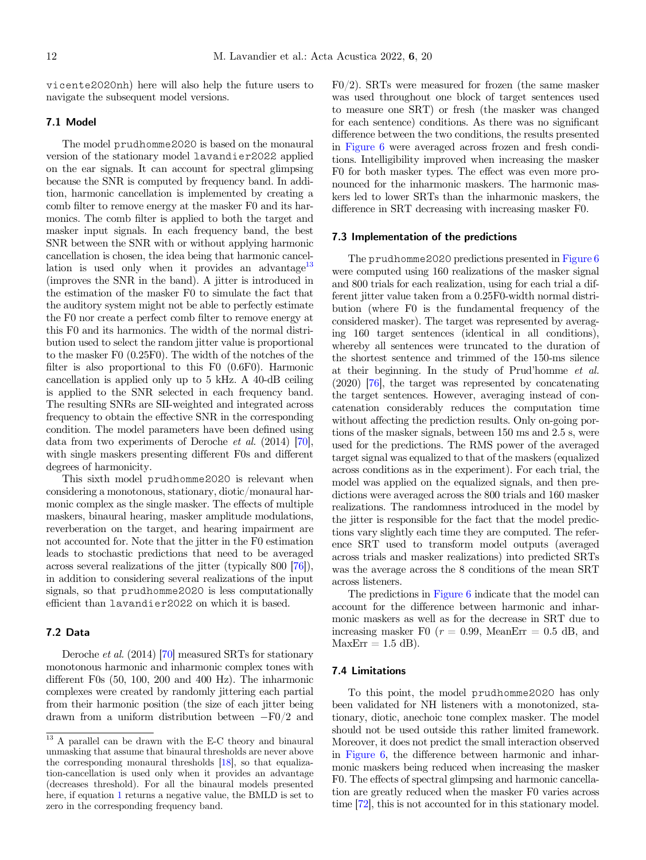vicente2020nh) here will also help the future users to navigate the subsequent model versions.

## 7.1 Model

The model prudhomme2020 is based on the monaural version of the stationary model lavandier2022 applied on the ear signals. It can account for spectral glimpsing because the SNR is computed by frequency band. In addition, harmonic cancellation is implemented by creating a comb filter to remove energy at the masker F0 and its harmonics. The comb filter is applied to both the target and masker input signals. In each frequency band, the best SNR between the SNR with or without applying harmonic cancellation is chosen, the idea being that harmonic cancellation is used only when it provides an advantage $13$ (improves the SNR in the band). A jitter is introduced in the estimation of the masker F0 to simulate the fact that the auditory system might not be able to perfectly estimate the F0 nor create a perfect comb filter to remove energy at this F0 and its harmonics. The width of the normal distribution used to select the random jitter value is proportional to the masker F0 (0.25F0). The width of the notches of the filter is also proportional to this F0 (0.6F0). Harmonic cancellation is applied only up to 5 kHz. A 40-dB ceiling is applied to the SNR selected in each frequency band. The resulting SNRs are SII-weighted and integrated across frequency to obtain the effective SNR in the corresponding condition. The model parameters have been defined using data from two experiments of Deroche et al. (2014) [\[70\]](#page-16-0), with single maskers presenting different F0s and different degrees of harmonicity.

This sixth model prudhomme2020 is relevant when considering a monotonous, stationary, diotic/monaural harmonic complex as the single masker. The effects of multiple maskers, binaural hearing, masker amplitude modulations, reverberation on the target, and hearing impairment are not accounted for. Note that the jitter in the F0 estimation leads to stochastic predictions that need to be averaged across several realizations of the jitter (typically 800 [\[76](#page-16-0)]), in addition to considering several realizations of the input signals, so that prudhomme2020 is less computationally efficient than lavandier2022 on which it is based.

## 7.2 Data

Deroche et al. (2014) [\[70\]](#page-16-0) measured SRTs for stationary monotonous harmonic and inharmonic complex tones with different F0s (50, 100, 200 and 400 Hz). The inharmonic complexes were created by randomly jittering each partial from their harmonic position (the size of each jitter being drawn from a uniform distribution between  $-F0/2$  and

F0/2). SRTs were measured for frozen (the same masker was used throughout one block of target sentences used to measure one SRT) or fresh (the masker was changed for each sentence) conditions. As there was no significant difference between the two conditions, the results presented in [Figure 6](#page-12-0) were averaged across frozen and fresh conditions. Intelligibility improved when increasing the masker F0 for both masker types. The effect was even more pronounced for the inharmonic maskers. The harmonic maskers led to lower SRTs than the inharmonic maskers, the difference in SRT decreasing with increasing masker F0.

#### 7.3 Implementation of the predictions

The prudhomme2020 predictions presented in [Figure 6](#page-12-0) were computed using 160 realizations of the masker signal and 800 trials for each realization, using for each trial a different jitter value taken from a 0.25F0-width normal distribution (where F0 is the fundamental frequency of the considered masker). The target was represented by averaging 160 target sentences (identical in all conditions), whereby all sentences were truncated to the duration of the shortest sentence and trimmed of the 150-ms silence at their beginning. In the study of Prud'homme et al. (2020) [\[76\]](#page-16-0), the target was represented by concatenating the target sentences. However, averaging instead of concatenation considerably reduces the computation time without affecting the prediction results. Only on-going portions of the masker signals, between 150 ms and 2.5 s, were used for the predictions. The RMS power of the averaged target signal was equalized to that of the maskers (equalized across conditions as in the experiment). For each trial, the model was applied on the equalized signals, and then predictions were averaged across the 800 trials and 160 masker realizations. The randomness introduced in the model by the jitter is responsible for the fact that the model predictions vary slightly each time they are computed. The reference SRT used to transform model outputs (averaged across trials and masker realizations) into predicted SRTs was the average across the 8 conditions of the mean SRT across listeners.

The predictions in [Figure 6](#page-12-0) indicate that the model can account for the difference between harmonic and inharmonic maskers as well as for the decrease in SRT due to increasing masker F0 ( $r = 0.99$ , MeanErr = 0.5 dB, and  $MaxErr = 1.5$  dB).

#### 7.4 Limitations

To this point, the model prudhomme2020 has only been validated for NH listeners with a monotonized, stationary, diotic, anechoic tone complex masker. The model should not be used outside this rather limited framework. Moreover, it does not predict the small interaction observed in [Figure 6](#page-12-0), the difference between harmonic and inharmonic maskers being reduced when increasing the masker F0. The effects of spectral glimpsing and harmonic cancellation are greatly reduced when the masker F0 varies across time [\[72\]](#page-16-0), this is not accounted for in this stationary model.

 $^{13}$  A parallel can be drawn with the E-C theory and binaural unmasking that assume that binaural thresholds are never above the corresponding monaural thresholds [\[18](#page-14-0)], so that equalization-cancellation is used only when it provides an advantage (decreases threshold). For all the binaural models presented here, if equation [1](#page-1-0) returns a negative value, the BMLD is set to zero in the corresponding frequency band.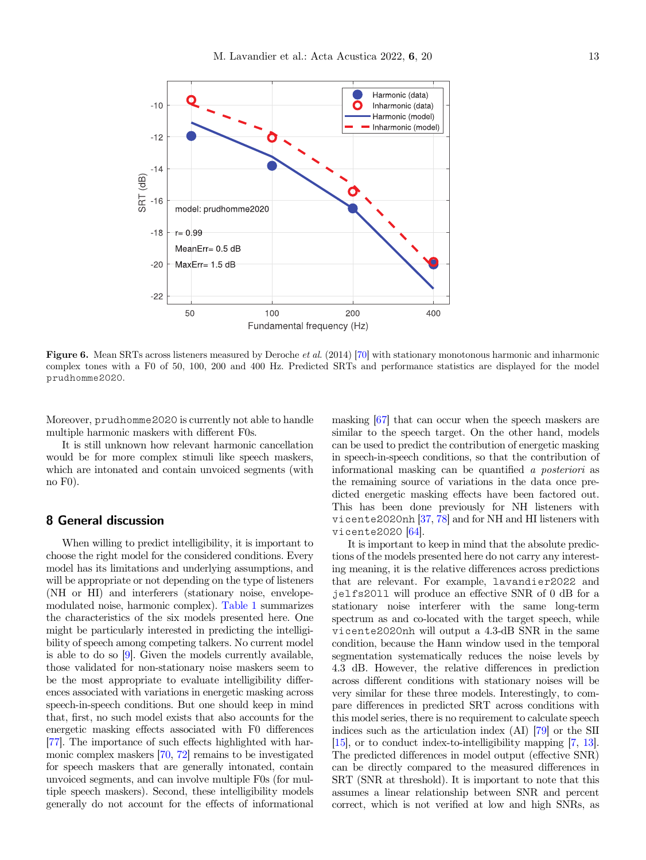<span id="page-12-0"></span>

Figure 6. Mean SRTs across listeners measured by Deroche *et al.* (2014) [\[70](#page-16-0)] with stationary monotonous harmonic and inharmonic complex tones with a F0 of 50, 100, 200 and 400 Hz. Predicted SRTs and performance statistics are displayed for the model prudhomme2020.

Moreover, prudhomme2020 is currently not able to handle multiple harmonic maskers with different F0s.

It is still unknown how relevant harmonic cancellation would be for more complex stimuli like speech maskers, which are intonated and contain unvoiced segments (with no F0).

## 8 General discussion

When willing to predict intelligibility, it is important to choose the right model for the considered conditions. Every model has its limitations and underlying assumptions, and will be appropriate or not depending on the type of listeners (NH or HI) and interferers (stationary noise, envelopemodulated noise, harmonic complex). [Table 1](#page-13-0) summarizes the characteristics of the six models presented here. One might be particularly interested in predicting the intelligibility of speech among competing talkers. No current model is able to do so [\[9](#page-14-0)]. Given the models currently available, those validated for non-stationary noise maskers seem to be the most appropriate to evaluate intelligibility differences associated with variations in energetic masking across speech-in-speech conditions. But one should keep in mind that, first, no such model exists that also accounts for the energetic masking effects associated with F0 differences [\[77\]](#page-16-0). The importance of such effects highlighted with harmonic complex maskers [[70](#page-16-0), [72\]](#page-16-0) remains to be investigated for speech maskers that are generally intonated, contain unvoiced segments, and can involve multiple F0s (for multiple speech maskers). Second, these intelligibility models generally do not account for the effects of informational masking [\[67\]](#page-16-0) that can occur when the speech maskers are similar to the speech target. On the other hand, models can be used to predict the contribution of energetic masking in speech-in-speech conditions, so that the contribution of informational masking can be quantified a posteriori as the remaining source of variations in the data once predicted energetic masking effects have been factored out. This has been done previously for NH listeners with vicente2020nh [[37](#page-15-0), [78](#page-16-0)] and for NH and HI listeners with vicente2020 [[64](#page-16-0)].

It is important to keep in mind that the absolute predictions of the models presented here do not carry any interesting meaning, it is the relative differences across predictions that are relevant. For example, lavandier2022 and jelfs2011 will produce an effective SNR of 0 dB for a stationary noise interferer with the same long-term spectrum as and co-located with the target speech, while vicente2020nh will output a 4.3-dB SNR in the same condition, because the Hann window used in the temporal segmentation systematically reduces the noise levels by 4.3 dB. However, the relative differences in prediction across different conditions with stationary noises will be very similar for these three models. Interestingly, to compare differences in predicted SRT across conditions with this model series, there is no requirement to calculate speech indices such as the articulation index (AI) [\[79](#page-16-0)] or the SII [[15](#page-14-0)], or to conduct index-to-intelligibility mapping [\[7](#page-14-0), [13](#page-14-0)]. The predicted differences in model output (effective SNR) can be directly compared to the measured differences in SRT (SNR at threshold). It is important to note that this assumes a linear relationship between SNR and percent correct, which is not verified at low and high SNRs, as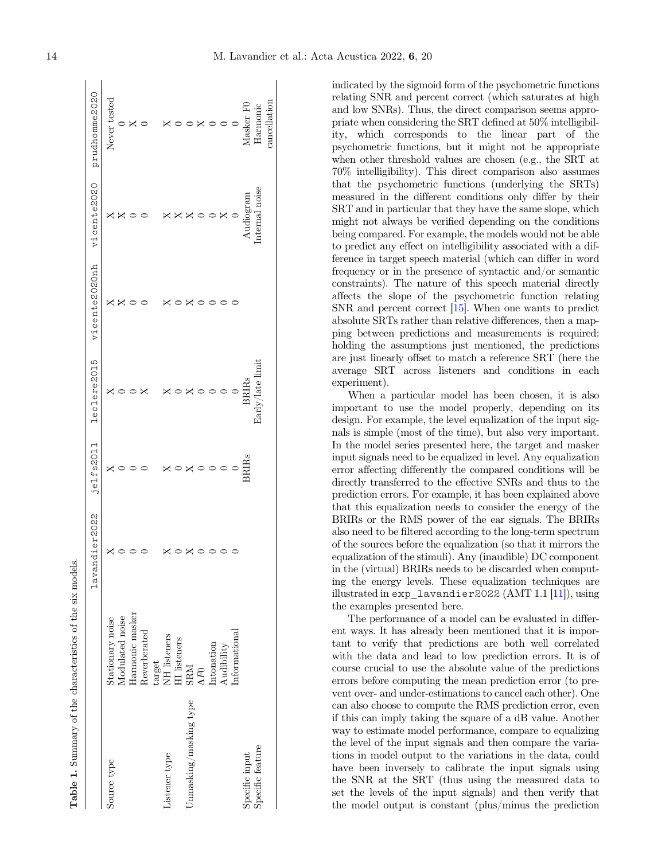<span id="page-13-0"></span>

| Table 1. Summary of the characteristics of the six model |                                                                        |               |         |                 |               |               |               |
|----------------------------------------------------------|------------------------------------------------------------------------|---------------|---------|-----------------|---------------|---------------|---------------|
|                                                          |                                                                        | lavandier2022 | jelfs20 | leclere2015     | vicente2020nh | vicente2020   | prudhomme2020 |
| Source type                                              | Stationary noise                                                       |               |         |                 |               |               | Never tested  |
|                                                          | Modulated noise                                                        |               |         |                 |               |               |               |
|                                                          | Harmonic masker                                                        |               |         |                 |               |               |               |
|                                                          | Reverberated                                                           |               |         |                 |               |               |               |
|                                                          | $t$ arget                                                              |               |         |                 |               |               |               |
| Listener type                                            | NH listeners                                                           |               |         |                 |               |               | $\mathsf{X}$  |
|                                                          | <b>HI</b> listeners                                                    |               |         |                 |               |               |               |
| Unmasking/masking type                                   |                                                                        |               |         |                 |               |               |               |
|                                                          | $\frac{\text{SRM}}{\Delta F0}$                                         |               |         |                 |               |               |               |
|                                                          | Intonation                                                             |               |         |                 |               |               |               |
|                                                          | $\label{eq:adibility} \begin{array}{ll} \text{Audibility} \end{array}$ |               |         |                 |               | ×             |               |
|                                                          | Informational                                                          |               |         |                 |               |               | $\circ$       |
| Specific input                                           |                                                                        |               | BRIR    | BRIRs           |               | Audiogram     | Masker F(     |
| Specific feature                                         |                                                                        |               |         | Early/late limi |               | nternal noise | Harmonic      |
|                                                          |                                                                        |               |         |                 |               |               | cancellation  |

indicated by the sigmoid form of the psychometric functions relating SNR and percent correct (which saturates at high and low SNRs). Thus, the direct comparison seems appropriate when considering the SRT defined at 50% intelligibility, which corresponds to the linear part of the psychometric functions, but it might not be appropriate when other threshold values are chosen (e.g., the SRT at 70% intelligibility). This direct comparison also assumes that the psychometric functions (underlying the SRTs) measured in the different conditions only differ by their SRT and in particular that they have the same slope, which might not always be verified depending on the conditions being compared. For example, the models would not be able to predict any effect on intelligibility associated with a difference in target speech material (which can differ in word frequency or in the presence of syntactic and/or semantic constraints). The nature of this speech material directly affects the slope of the psychometric function relating SNR and percent correct [\[15\]](#page-14-0). When one wants to predict absolute SRTs rather than relative differences, then a mapping between predictions and measurements is required: holding the assumptions just mentioned, the predictions are just linearly offset to match a reference SRT (here the average SRT across listeners and conditions in each experiment).

When a particular model has been chosen, it is also important to use the model properly, depending on its design. For example, the level equalization of the input signals is simple (most of the time), but also very important. In the model series presented here, the target and masker input signals need to be equalized in level. Any equalization error affecting differently the compared conditions will be directly transferred to the effective SNRs and thus to the prediction errors. For example, it has been explained above that this equalization needs to consider the energy of the BRIRs or the RMS power of the ear signals. The BRIRs also need to be filtered according to the long-term spectrum of the sources before the equalization (so that it mirrors the equalization of the stimuli). Any (inaudible) DC component in the (virtual) BRIRs needs to be discarded when computing the energy levels. These equalization techniques are illustrated in exp\_lavandier2022 (AMT 1.1 [\[11\]](#page-14-0)), using the examples presented here.

The performance of a model can be evaluated in different ways. It has already been mentioned that it is important to verify that predictions are both well correlated with the data and lead to low prediction errors. It is of course crucial to use the absolute value of the predictions errors before computing the mean prediction error (to prevent over- and under-estimations to cancel each other). One can also choose to compute the RMS prediction error, even if this can imply taking the square of a dB value. Another way to estimate model performance, compare to equalizing the level of the input signals and then compare the variations in model output to the variations in the data, could have been inversely to calibrate the input signals using the SNR at the SRT (thus using the measured data to set the levels of the input signals) and then verify that the model output is constant (plus/minus the prediction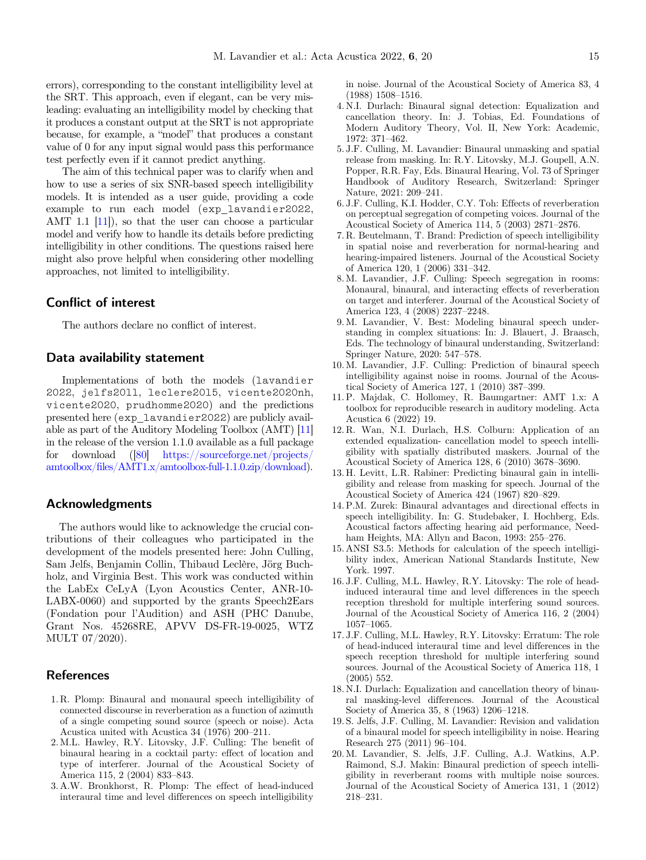<span id="page-14-0"></span>errors), corresponding to the constant intelligibility level at the SRT. This approach, even if elegant, can be very misleading: evaluating an intelligibility model by checking that it produces a constant output at the SRT is not appropriate because, for example, a "model" that produces a constant value of 0 for any input signal would pass this performance test perfectly even if it cannot predict anything.

The aim of this technical paper was to clarify when and how to use a series of six SNR-based speech intelligibility models. It is intended as a user guide, providing a code example to run each model (exp\_lavandier2022, AMT 1.1 [11]), so that the user can choose a particular model and verify how to handle its details before predicting intelligibility in other conditions. The questions raised here might also prove helpful when considering other modelling approaches, not limited to intelligibility.

## Conflict of interest

The authors declare no conflict of interest.

## Data availability statement

Implementations of both the models (lavandier 2022, jelfs2011, leclere2015, vicente2020nh, vicente2020, prudhomme2020) and the predictions presented here (exp\_lavandier2022) are publicly available as part of the Auditory Modeling Toolbox (AMT) [11] in the release of the version 1.1.0 available as a full package for download ([\[80](#page-16-0)] [https://sourceforge.net/projects/](https://sourceforge.net/projects/amtoolbox/files/AMT1.x/amtoolbox-full-1.1.0.zip/download) amtoolbox/fi[les/AMT1.x/amtoolbox-full-1.1.0.zip/download\)](https://sourceforge.net/projects/amtoolbox/files/AMT1.x/amtoolbox-full-1.1.0.zip/download).

## Acknowledgments

The authors would like to acknowledge the crucial contributions of their colleagues who participated in the development of the models presented here: John Culling, Sam Jelfs, Benjamin Collin, Thibaud Leclère, Jörg Buchholz, and Virginia Best. This work was conducted within the LabEx CeLyA (Lyon Acoustics Center, ANR-10- LABX-0060) and supported by the grants Speech2Ears (Fondation pour l'Audition) and ASH (PHC Danube, Grant Nos. 45268RE, APVV DS-FR-19-0025, WTZ MULT 07/2020).

## References

- 1. R. Plomp: Binaural and monaural speech intelligibility of connected discourse in reverberation as a function of azimuth of a single competing sound source (speech or noise). Acta Acustica united with Acustica 34 (1976) 200–211.
- 2. M.L. Hawley, R.Y. Litovsky, J.F. Culling: The benefit of binaural hearing in a cocktail party: effect of location and type of interferer. Journal of the Acoustical Society of America 115, 2 (2004) 833–843.
- 3. A.W. Bronkhorst, R. Plomp: The effect of head-induced interaural time and level differences on speech intelligibility

in noise. Journal of the Acoustical Society of America 83, 4 (1988) 1508–1516.

- 4. N.I. Durlach: Binaural signal detection: Equalization and cancellation theory. In: J. Tobias, Ed. Foundations of Modern Auditory Theory, Vol. II, New York: Academic, 1972: 371–462.
- 5. J.F. Culling, M. Lavandier: Binaural unmasking and spatial release from masking. In: R.Y. Litovsky, M.J. Goupell, A.N. Popper, R.R. Fay, Eds. Binaural Hearing, Vol. 73 of Springer Handbook of Auditory Research, Switzerland: Springer Nature, 2021: 209–241.
- 6. J.F. Culling, K.I. Hodder, C.Y. Toh: Effects of reverberation on perceptual segregation of competing voices. Journal of the Acoustical Society of America 114, 5 (2003) 2871–2876.
- 7. R. Beutelmann, T. Brand: Prediction of speech intelligibility in spatial noise and reverberation for normal-hearing and hearing-impaired listeners. Journal of the Acoustical Society of America 120, 1 (2006) 331–342.
- 8. M. Lavandier, J.F. Culling: Speech segregation in rooms: Monaural, binaural, and interacting effects of reverberation on target and interferer. Journal of the Acoustical Society of America 123, 4 (2008) 2237–2248.
- 9. M. Lavandier, V. Best: Modeling binaural speech understanding in complex situations: In: J. Blauert, J. Braasch, Eds. The technology of binaural understanding, Switzerland: Springer Nature, 2020: 547–578.
- 10. M. Lavandier, J.F. Culling: Prediction of binaural speech intelligibility against noise in rooms. Journal of the Acous-tical Society of America 127, 1 (2010) 387–399.
- 11. P. Majdak, C. Hollomey, R. Baumgartner: AMT 1.x: A toolbox for reproducible research in auditory modeling. Acta Acustica 6 (2022) 19.
- 12. R. Wan, N.I. Durlach, H.S. Colburn: Application of an extended equalization- cancellation model to speech intelligibility with spatially distributed maskers. Journal of the Acoustical Society of America 128, 6 (2010) 3678–3690.
- 13. H. Levitt, L.R. Rabiner: Predicting binaural gain in intelligibility and release from masking for speech. Journal of the Acoustical Society of America 424 (1967) 820–829.
- 14. P.M. Zurek: Binaural advantages and directional effects in speech intelligibility. In: G. Studebaker, I. Hochberg, Eds. Acoustical factors affecting hearing aid performance, Needham Heights, MA: Allyn and Bacon, 1993: 255–276.
- 15. ANSI S3.5: Methods for calculation of the speech intelligibility index, American National Standards Institute, New York. 1997.
- 16. J.F. Culling, M.L. Hawley, R.Y. Litovsky: The role of headinduced interaural time and level differences in the speech reception threshold for multiple interfering sound sources. Journal of the Acoustical Society of America 116, 2 (2004) <sup>1057</sup>–1065.
- 17. J.F. Culling, M.L. Hawley, R.Y. Litovsky: Erratum: The role of head-induced interaural time and level differences in the speech reception threshold for multiple interfering sound sources. Journal of the Acoustical Society of America 118, 1 (2005) 552.
- 18. N.I. Durlach: Equalization and cancellation theory of binaural masking-level differences. Journal of the Acoustical Society of America 35, 8 (1963) 1206–1218.
- 19. S. Jelfs, J.F. Culling, M. Lavandier: Revision and validation of a binaural model for speech intelligibility in noise. Hearing Research 275 (2011) 96–104.
- 20. M. Lavandier, S. Jelfs, J.F. Culling, A.J. Watkins, A.P. Raimond, S.J. Makin: Binaural prediction of speech intelligibility in reverberant rooms with multiple noise sources. Journal of the Acoustical Society of America 131, 1 (2012) <sup>218</sup>–231.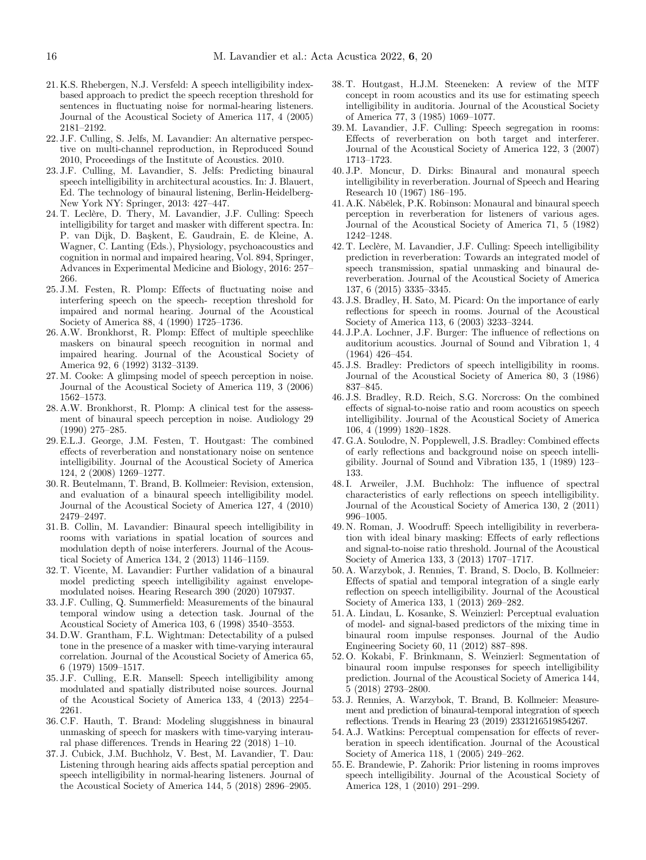- <span id="page-15-0"></span>21. K.S. Rhebergen, N.J. Versfeld: A speech intelligibility indexbased approach to predict the speech reception threshold for sentences in fluctuating noise for normal-hearing listeners. Journal of the Acoustical Society of America 117, 4 (2005) <sup>2181</sup>–2192.
- 22. J.F. Culling, S. Jelfs, M. Lavandier: An alternative perspective on multi-channel reproduction, in Reproduced Sound 2010, Proceedings of the Institute of Acoustics. 2010.
- 23. J.F. Culling, M. Lavandier, S. Jelfs: Predicting binaural speech intelligibility in architectural acoustics. In: J. Blauert, Ed. The technology of binaural listening, Berlin-Heidelberg-New York NY: Springer, 2013: 427–447.
- 24. T. Leclère, D. Thery, M. Lavandier, J.F. Culling: Speech intelligibility for target and masker with different spectra. In: P. van Dijk, D. Baskent, E. Gaudrain, E. de Kleine, A. Wagner, C. Lanting (Eds.), Physiology, psychoacoustics and cognition in normal and impaired hearing, Vol. 894, Springer, Advances in Experimental Medicine and Biology, 2016: 257– 266.
- 25. J.M. Festen, R. Plomp: Effects of fluctuating noise and interfering speech on the speech- reception threshold for impaired and normal hearing. Journal of the Acoustical Society of America 88, 4 (1990) 1725–1736.
- 26. A.W. Bronkhorst, R. Plomp: Effect of multiple speechlike maskers on binaural speech recognition in normal and impaired hearing. Journal of the Acoustical Society of America 92, 6 (1992) 3132–3139.
- 27. M. Cooke: A glimpsing model of speech perception in noise. Journal of the Acoustical Society of America 119, 3 (2006) <sup>1562</sup>–1573.
- 28. A.W. Bronkhorst, R. Plomp: A clinical test for the assessment of binaural speech perception in noise. Audiology 29 (1990) 275–285.
- 29. E.L.J. George, J.M. Festen, T. Houtgast: The combined effects of reverberation and nonstationary noise on sentence intelligibility. Journal of the Acoustical Society of America 124, 2 (2008) 1269–1277.
- 30. R. Beutelmann, T. Brand, B. Kollmeier: Revision, extension, and evaluation of a binaural speech intelligibility model. Journal of the Acoustical Society of America 127, 4 (2010) <sup>2479</sup>–2497.
- 31. B. Collin, M. Lavandier: Binaural speech intelligibility in rooms with variations in spatial location of sources and modulation depth of noise interferers. Journal of the Acous-tical Society of America 134, 2 (2013) 1146–1159.
- 32. T. Vicente, M. Lavandier: Further validation of a binaural model predicting speech intelligibility against envelopemodulated noises. Hearing Research 390 (2020) 107937.
- 33. J.F. Culling, Q. Summerfield: Measurements of the binaural temporal window using a detection task. Journal of the Acoustical Society of America 103, 6 (1998) 3540–3553.
- 34. D.W. Grantham, F.L. Wightman: Detectability of a pulsed tone in the presence of a masker with time-varying interaural correlation. Journal of the Acoustical Society of America 65, 6 (1979) 1509–1517.
- 35. J.F. Culling, E.R. Mansell: Speech intelligibility among modulated and spatially distributed noise sources. Journal of the Acoustical Society of America 133, 4 (2013) 2254– 2261.
- 36. C.F. Hauth, T. Brand: Modeling sluggishness in binaural unmasking of speech for maskers with time-varying interaural phase differences. Trends in Hearing 22 (2018) 1–10.
- 37. J. Cubick, J.M. Buchholz, V. Best, M. Lavandier, T. Dau: Listening through hearing aids affects spatial perception and speech intelligibility in normal-hearing listeners. Journal of the Acoustical Society of America 144, 5 (2018) 2896–2905.
- 38. T. Houtgast, H.J.M. Steeneken: A review of the MTF concept in room acoustics and its use for estimating speech intelligibility in auditoria. Journal of the Acoustical Society of America 77, 3 (1985) 1069–1077.
- 39. M. Lavandier, J.F. Culling: Speech segregation in rooms: Effects of reverberation on both target and interferer. Journal of the Acoustical Society of America 122, 3 (2007) <sup>1713</sup>–1723.
- 40. J.P. Moncur, D. Dirks: Binaural and monaural speech intelligibility in reverberation. Journal of Speech and Hearing Research 10 (1967) 186–195.
- 41. A.K. Nábĕlek, P.K. Robinson: Monaural and binaural speech perception in reverberation for listeners of various ages. Journal of the Acoustical Society of America 71, 5 (1982) <sup>1242</sup>–1248.
- 42. T. Leclère, M. Lavandier, J.F. Culling: Speech intelligibility prediction in reverberation: Towards an integrated model of speech transmission, spatial unmasking and binaural dereverberation. Journal of the Acoustical Society of America 137, 6 (2015) 3335–3345.
- 43. J.S. Bradley, H. Sato, M. Picard: On the importance of early reflections for speech in rooms. Journal of the Acoustical Society of America 113, 6 (2003) 3233–3244.
- 44. J.P.A. Lochner, J.F. Burger: The influence of reflections on auditorium acoustics. Journal of Sound and Vibration 1, 4 (1964) 426–454.
- 45. J.S. Bradley: Predictors of speech intelligibility in rooms. Journal of the Acoustical Society of America 80, 3 (1986) <sup>837</sup>–845.
- 46. J.S. Bradley, R.D. Reich, S.G. Norcross: On the combined effects of signal-to-noise ratio and room acoustics on speech intelligibility. Journal of the Acoustical Society of America 106, 4 (1999) 1820–1828.
- 47. G.A. Soulodre, N. Popplewell, J.S. Bradley: Combined effects of early reflections and background noise on speech intelligibility. Journal of Sound and Vibration 135, 1 (1989) 123– 133.
- 48. I. Arweiler, J.M. Buchholz: The influence of spectral characteristics of early reflections on speech intelligibility. Journal of the Acoustical Society of America 130, 2 (2011) <sup>996</sup>–1005.
- 49. N. Roman, J. Woodruff: Speech intelligibility in reverberation with ideal binary masking: Effects of early reflections and signal-to-noise ratio threshold. Journal of the Acoustical Society of America 133, 3 (2013) 1707–1717.
- 50. A. Warzybok, J. Rennies, T. Brand, S. Doclo, B. Kollmeier: Effects of spatial and temporal integration of a single early reflection on speech intelligibility. Journal of the Acoustical Society of America 133, 1 (2013) 269–282.
- 51. A. Lindau, L. Kosanke, S. Weinzierl: Perceptual evaluation of model- and signal-based predictors of the mixing time in binaural room impulse responses. Journal of the Audio Engineering Society 60, 11 (2012) 887–898.
- 52. O. Kokabi, F. Brinkmann, S. Weinzierl: Segmentation of binaural room impulse responses for speech intelligibility prediction. Journal of the Acoustical Society of America 144, 5 (2018) 2793–2800.
- 53. J. Rennies, A. Warzybok, T. Brand, B. Kollmeier: Measurement and prediction of binaural-temporal integration of speech reflections. Trends in Hearing 23 (2019) 2331216519854267.
- 54. A.J. Watkins: Perceptual compensation for effects of reverberation in speech identification. Journal of the Acoustical Society of America 118, 1 (2005) 249–262.
- 55. E. Brandewie, P. Zahorik: Prior listening in rooms improves speech intelligibility. Journal of the Acoustical Society of America 128, 1 (2010) 291–299.